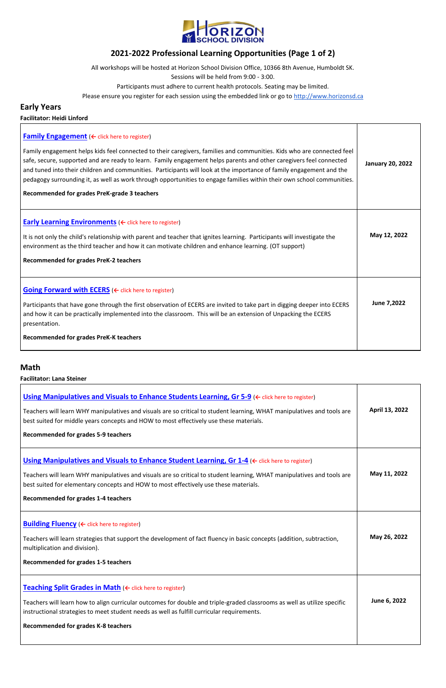

# **2021-2022 Professional Learning Opportunities (Page 1 of 2)**

All workshops will be hosted at Horizon School Division Office, 10366 8th Avenue, Humboldt SK.

Sessions will be held from 9:00 - 3:00.

Participants must adhere to current health protocols. Seating may be limited.

Please ensure you register for each session using the embedded link or go to [http://www.horizonsd.ca](http://www.horizonsd.ca/)

# **Early Years**

**Facilitator: Heidi Linford**

| <b>Family Engagement</b> ( $\leftarrow$ click here to register)<br>Family engagement helps kids feel connected to their caregivers, families and communities. Kids who are connected feel<br>safe, secure, supported and are ready to learn. Family engagement helps parents and other caregivers feel connected<br>and tuned into their children and communities. Participants will look at the importance of family engagement and the<br>pedagogy surrounding it, as well as work through opportunities to engage families within their own school communities.<br>Recommended for grades PreK-grade 3 teachers | <b>January 20, 2022</b> |
|--------------------------------------------------------------------------------------------------------------------------------------------------------------------------------------------------------------------------------------------------------------------------------------------------------------------------------------------------------------------------------------------------------------------------------------------------------------------------------------------------------------------------------------------------------------------------------------------------------------------|-------------------------|
| <b>Early Learning Environments</b> ( $\leftarrow$ click here to register)<br>It is not only the child's relationship with parent and teacher that ignites learning. Participants will investigate the<br>environment as the third teacher and how it can motivate children and enhance learning. (OT support)<br><b>Recommended for grades PreK-2 teachers</b>                                                                                                                                                                                                                                                     | May 12, 2022            |
| <b>Going Forward with ECERS</b> ( $\leftarrow$ click here to register)<br>Participants that have gone through the first observation of ECERS are invited to take part in digging deeper into ECERS<br>and how it can be practically implemented into the classroom. This will be an extension of Unpacking the ECERS<br>presentation.<br><b>Recommended for grades PreK-K teachers</b>                                                                                                                                                                                                                             | June 7,2022             |

### **Math**

**Facilitator: Lana Steiner**

| Using Manipulatives and Visuals to Enhance Students Learning, Gr 5-9 ( $\leftarrow$ click here to register)<br>Teachers will learn WHY manipulatives and visuals are so critical to student learning, WHAT manipulatives and tools are<br>best suited for middle years concepts and HOW to most effectively use these materials.<br><b>Recommended for grades 5-9 teachers</b>        | April 13, 2022 |
|---------------------------------------------------------------------------------------------------------------------------------------------------------------------------------------------------------------------------------------------------------------------------------------------------------------------------------------------------------------------------------------|----------------|
| <b>Using Manipulatives and Visuals to Enhance Student Learning, Gr 1-4 (<math>\leftarrow</math> click here to register)</b><br>Teachers will learn WHY manipulatives and visuals are so critical to student learning, WHAT manipulatives and tools are<br>best suited for elementary concepts and HOW to most effectively use these materials.<br>Recommended for grades 1-4 teachers | May 11, 2022   |
| <b>Building Fluency</b> ( $\leftarrow$ click here to register)<br>Teachers will learn strategies that support the development of fact fluency in basic concepts (addition, subtraction,<br>multiplication and division).<br><b>Recommended for grades 1-5 teachers</b>                                                                                                                | May 26, 2022   |
| Teaching Split Grades in Math ( $\leftarrow$ click here to register)<br>Teachers will learn how to align curricular outcomes for double and triple-graded classrooms as well as utilize specific<br>instructional strategies to meet student needs as well as fulfill curricular requirements.<br>Recommended for grades K-8 teachers                                                 | June 6, 2022   |